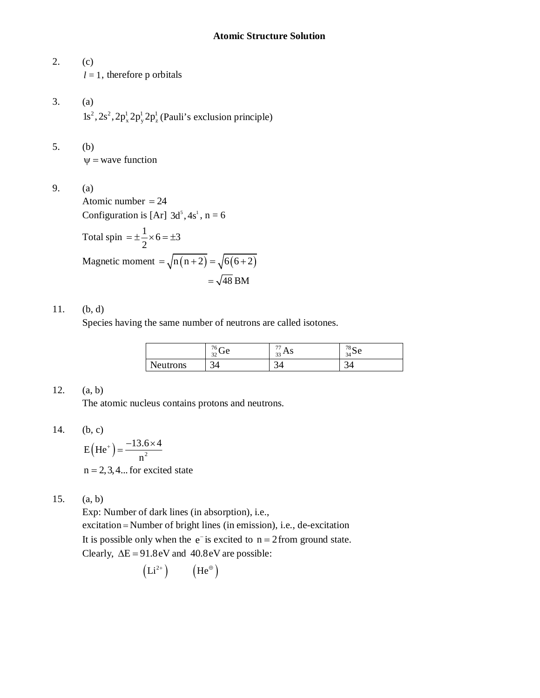2. (c)  

$$
l = 1
$$
, therefore p orbitals

- 3. (a)  $1s^2$ ,  $2s^2$ ,  $2p_x^1 2p_y^1 2p_z^1$  (Pauli's exclusion principle)
- 5. (b)  $\psi$  = wave function
- 9. (a)

Atomic number  $= 24$ Configuration is  $[Ar]$  3d<sup>5</sup>, 4s<sup>1</sup>, n = 6 Total spin  $=\pm \frac{1}{2} \times 6 = \pm 3$ 2  $=\pm \frac{1}{2} \times 6 = \pm 3$ Magnetic moment  $= \sqrt{n(n+2)} = \sqrt{6(6+2)}$  $=\sqrt{48}$  BM

## 11. (b, d)

Species having the same number of neutrons are called isotones.

|          | $\sim$<br>Uе<br>ىدر | $\overline{a}$<br>AЭ<br>33 | 70<br>$34^{\circ}$ |
|----------|---------------------|----------------------------|--------------------|
| Neutrons | $\sim$<br>14<br>ັ່  | ⌒<br>ັ                     | ⌒<br>ັ             |

## 12. (a, b)

The atomic nucleus contains protons and neutrons.

$$
14. \qquad (b, c)
$$

$$
E(He+) = \frac{-13.6 \times 4}{n^2}
$$
  
n = 2, 3, 4... for excited state

## 15. (a, b)

Exp: Number of dark lines (in absorption), i.e., excitation = Number of bright lines (in emission), i.e., de-excitation It is possible only when the  $e^-$  is excited to  $n = 2$  from ground state. Clearly,  $\Delta E = 91.8$ eV and  $40.8$ eV are possible:

$$
(Li^{2+}) \qquad (He^{\oplus})
$$